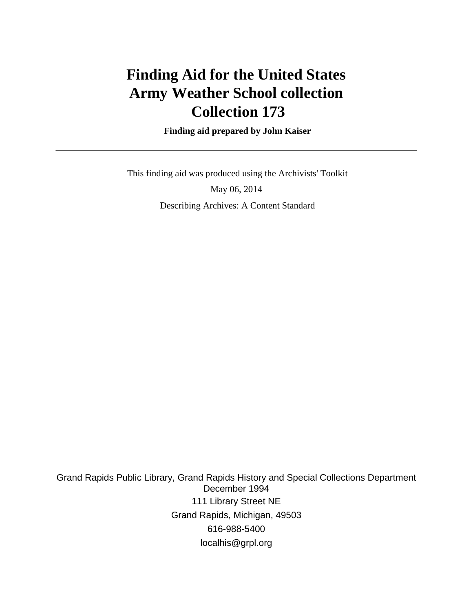# **Finding Aid for the United States Army Weather School collection Collection 173**

 **Finding aid prepared by John Kaiser**

 This finding aid was produced using the Archivists' Toolkit May 06, 2014 Describing Archives: A Content Standard

Grand Rapids Public Library, Grand Rapids History and Special Collections Department December 1994 111 Library Street NE Grand Rapids, Michigan, 49503 616-988-5400 localhis@grpl.org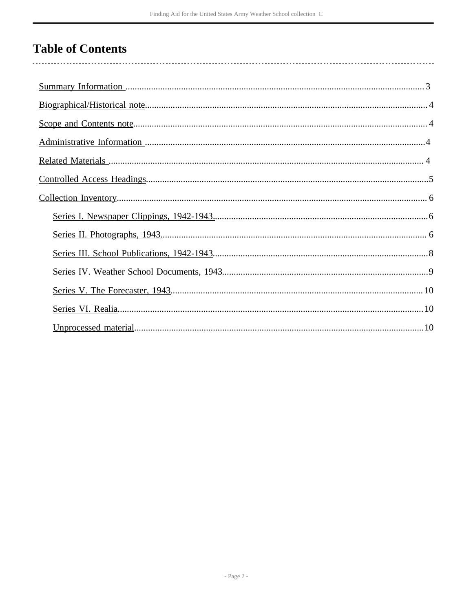# **Table of Contents**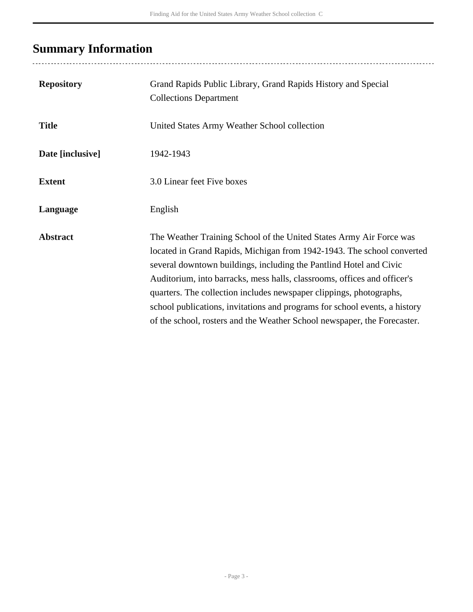# <span id="page-2-0"></span>**Summary Information**

| <b>Repository</b> | Grand Rapids Public Library, Grand Rapids History and Special<br><b>Collections Department</b>                                                                                                                                                                                                                                                                                                                                                                                                                                   |
|-------------------|----------------------------------------------------------------------------------------------------------------------------------------------------------------------------------------------------------------------------------------------------------------------------------------------------------------------------------------------------------------------------------------------------------------------------------------------------------------------------------------------------------------------------------|
| <b>Title</b>      | United States Army Weather School collection                                                                                                                                                                                                                                                                                                                                                                                                                                                                                     |
| Date [inclusive]  | 1942-1943                                                                                                                                                                                                                                                                                                                                                                                                                                                                                                                        |
| <b>Extent</b>     | 3.0 Linear feet Five boxes                                                                                                                                                                                                                                                                                                                                                                                                                                                                                                       |
| Language          | English                                                                                                                                                                                                                                                                                                                                                                                                                                                                                                                          |
| <b>Abstract</b>   | The Weather Training School of the United States Army Air Force was<br>located in Grand Rapids, Michigan from 1942-1943. The school converted<br>several downtown buildings, including the Pantlind Hotel and Civic<br>Auditorium, into barracks, mess halls, classrooms, offices and officer's<br>quarters. The collection includes newspaper clippings, photographs,<br>school publications, invitations and programs for school events, a history<br>of the school, rosters and the Weather School newspaper, the Forecaster. |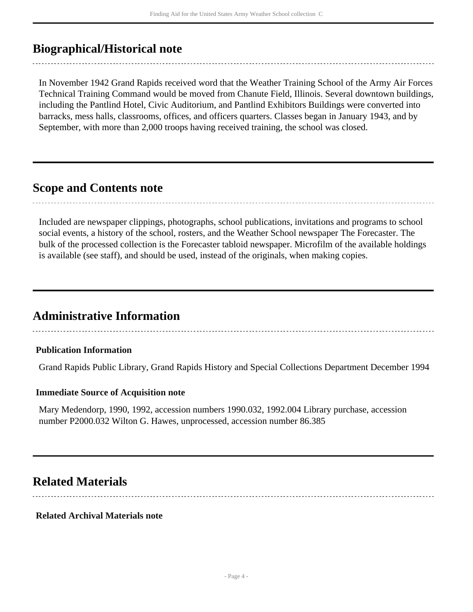# <span id="page-3-0"></span>**Biographical/Historical note**

In November 1942 Grand Rapids received word that the Weather Training School of the Army Air Forces Technical Training Command would be moved from Chanute Field, Illinois. Several downtown buildings, including the Pantlind Hotel, Civic Auditorium, and Pantlind Exhibitors Buildings were converted into barracks, mess halls, classrooms, offices, and officers quarters. Classes began in January 1943, and by September, with more than 2,000 troops having received training, the school was closed.

## <span id="page-3-1"></span>**Scope and Contents note**

Included are newspaper clippings, photographs, school publications, invitations and programs to school social events, a history of the school, rosters, and the Weather School newspaper The Forecaster. The bulk of the processed collection is the Forecaster tabloid newspaper. Microfilm of the available holdings is available (see staff), and should be used, instead of the originals, when making copies.

## <span id="page-3-2"></span>**Administrative Information**

### **Publication Information**

Grand Rapids Public Library, Grand Rapids History and Special Collections Department December 1994

#### **Immediate Source of Acquisition note**

Mary Medendorp, 1990, 1992, accession numbers 1990.032, 1992.004 Library purchase, accession number P2000.032 Wilton G. Hawes, unprocessed, accession number 86.385

## <span id="page-3-3"></span>**Related Materials**

#### **Related Archival Materials note**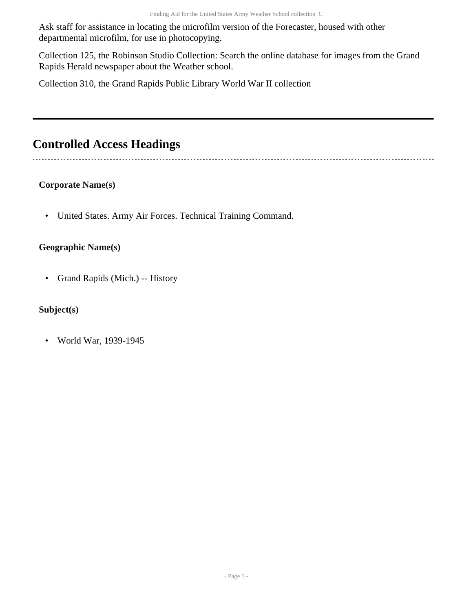Ask staff for assistance in locating the microfilm version of the Forecaster, housed with other departmental microfilm, for use in photocopying.

Collection 125, the Robinson Studio Collection: Search the online database for images from the Grand Rapids Herald newspaper about the Weather school.

Collection 310, the Grand Rapids Public Library World War II collection

# <span id="page-4-0"></span>**Controlled Access Headings**

### **Corporate Name(s)**

• United States. Army Air Forces. Technical Training Command.

### **Geographic Name(s)**

• Grand Rapids (Mich.) -- History

### **Subject(s)**

• World War, 1939-1945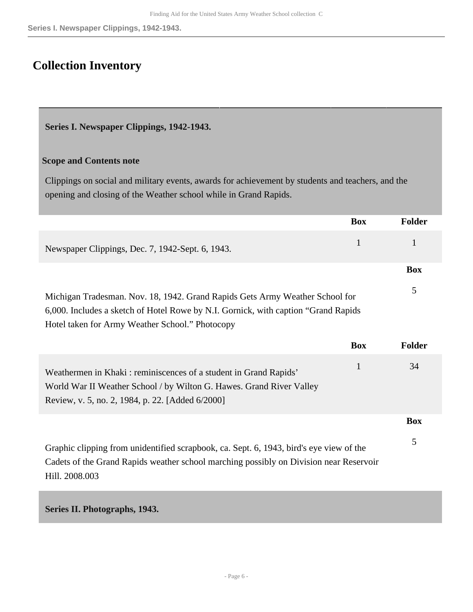# <span id="page-5-0"></span>**Collection Inventory**

<span id="page-5-1"></span>**Series I. Newspaper Clippings, 1942-1943.** 

#### **Scope and Contents note**

Clippings on social and military events, awards for achievement by students and teachers, and the opening and closing of the Weather school while in Grand Rapids.

|                                                                                                                                                                                                                        | <b>Box</b>   | <b>Folder</b> |
|------------------------------------------------------------------------------------------------------------------------------------------------------------------------------------------------------------------------|--------------|---------------|
| Newspaper Clippings, Dec. 7, 1942-Sept. 6, 1943.                                                                                                                                                                       | $\mathbf{1}$ | 1             |
|                                                                                                                                                                                                                        |              | <b>Box</b>    |
| Michigan Tradesman. Nov. 18, 1942. Grand Rapids Gets Army Weather School for<br>6,000. Includes a sketch of Hotel Rowe by N.I. Gornick, with caption "Grand Rapids"<br>Hotel taken for Army Weather School." Photocopy |              | 5             |
|                                                                                                                                                                                                                        | <b>Box</b>   | <b>Folder</b> |
| Weathermen in Khaki: reminiscences of a student in Grand Rapids'<br>World War II Weather School / by Wilton G. Hawes. Grand River Valley<br>Review, v. 5, no. 2, 1984, p. 22. [Added 6/2000]                           | $\mathbf{1}$ | 34            |
|                                                                                                                                                                                                                        |              | <b>Box</b>    |
| Graphic clipping from unidentified scrapbook, ca. Sept. 6, 1943, bird's eye view of the                                                                                                                                |              | 5             |

Cadets of the Grand Rapids weather school marching possibly on Division near Reservoir Hill. 2008.003

<span id="page-5-2"></span>**Series II. Photographs, 1943.**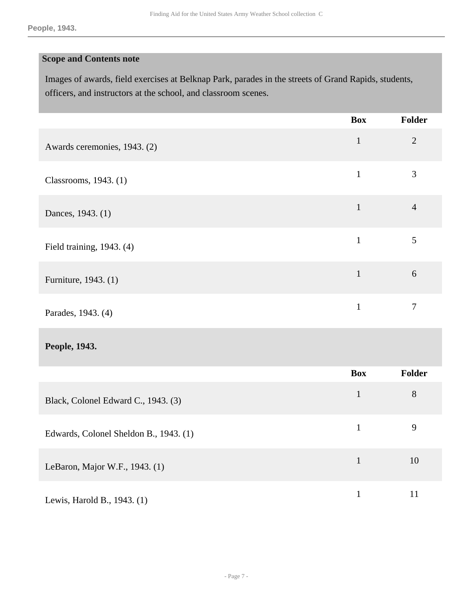### **Scope and Contents note**

Images of awards, field exercises at Belknap Park, parades in the streets of Grand Rapids, students, officers, and instructors at the school, and classroom scenes.

|                              | <b>Box</b>   | Folder         |
|------------------------------|--------------|----------------|
| Awards ceremonies, 1943. (2) | $\mathbf{1}$ | $\overline{2}$ |
| Classrooms, 1943. (1)        | $\mathbf{1}$ | 3              |
| Dances, 1943. (1)            | $\mathbf{1}$ | $\overline{4}$ |
| Field training, 1943. (4)    | $\mathbf{1}$ | 5              |
| Furniture, 1943. (1)         | $\mathbf{1}$ | 6              |
| Parades, 1943. (4)           | 1            | 7              |

### **People, 1943.**

|                                        | <b>Box</b> | <b>Folder</b> |
|----------------------------------------|------------|---------------|
| Black, Colonel Edward C., 1943. (3)    |            | 8             |
| Edwards, Colonel Sheldon B., 1943. (1) |            | 9             |
| LeBaron, Major W.F., 1943. (1)         |            | 10            |
| Lewis, Harold B., 1943. (1)            |            | 11            |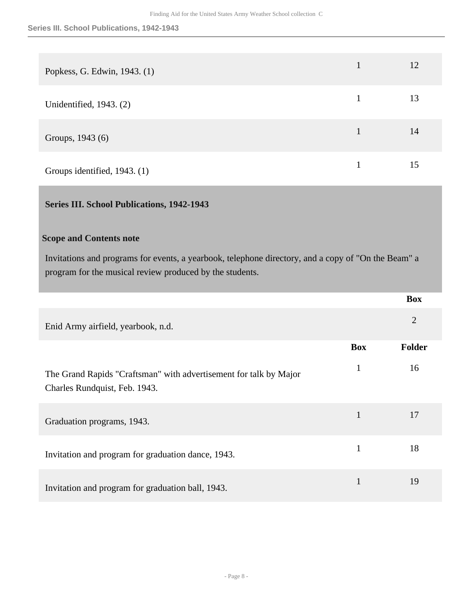| Popkess, G. Edwin, 1943. (1) |   | 12 |
|------------------------------|---|----|
| Unidentified, 1943. (2)      |   | 13 |
| Groups, 1943 (6)             | 1 | 14 |
| Groups identified, 1943. (1) |   | 15 |

#### <span id="page-7-0"></span>**Series III. School Publications, 1942-1943**

#### **Scope and Contents note**

Invitations and programs for events, a yearbook, telephone directory, and a copy of "On the Beam" a program for the musical review produced by the students.

|                                                                                                    |              | <b>Box</b>     |
|----------------------------------------------------------------------------------------------------|--------------|----------------|
| Enid Army airfield, yearbook, n.d.                                                                 |              | $\overline{2}$ |
|                                                                                                    | <b>Box</b>   | <b>Folder</b>  |
| The Grand Rapids "Craftsman" with advertisement for talk by Major<br>Charles Rundquist, Feb. 1943. | $\mathbf{1}$ | 16             |
| Graduation programs, 1943.                                                                         | 1            | 17             |
| Invitation and program for graduation dance, 1943.                                                 | $\mathbf{1}$ | 18             |
| Invitation and program for graduation ball, 1943.                                                  | 1            | 19             |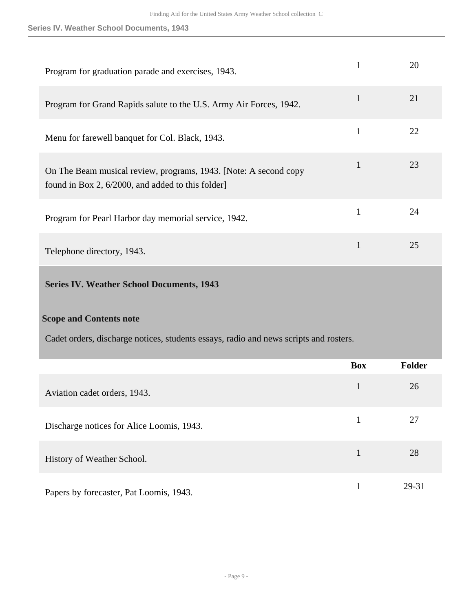#### **Series IV. Weather School Documents, 1943**

| Program for graduation parade and exercises, 1943.                                                                   |   | 20 |
|----------------------------------------------------------------------------------------------------------------------|---|----|
| Program for Grand Rapids salute to the U.S. Army Air Forces, 1942.                                                   |   | 21 |
| Menu for farewell banquet for Col. Black, 1943.                                                                      |   | 22 |
| On The Beam musical review, programs, 1943. [Note: A second copy<br>found in Box 2, 6/2000, and added to this folder | 1 | 23 |
| Program for Pearl Harbor day memorial service, 1942.                                                                 |   | 24 |
| Telephone directory, 1943.                                                                                           |   | 25 |

### <span id="page-8-0"></span>**Series IV. Weather School Documents, 1943**

#### **Scope and Contents note**

Cadet orders, discharge notices, students essays, radio and news scripts and rosters.

|                                           | <b>Box</b> | <b>Folder</b> |
|-------------------------------------------|------------|---------------|
| Aviation cadet orders, 1943.              | 1          | 26            |
| Discharge notices for Alice Loomis, 1943. |            | 27            |
| History of Weather School.                |            | 28            |
| Papers by forecaster, Pat Loomis, 1943.   |            | 29-31         |